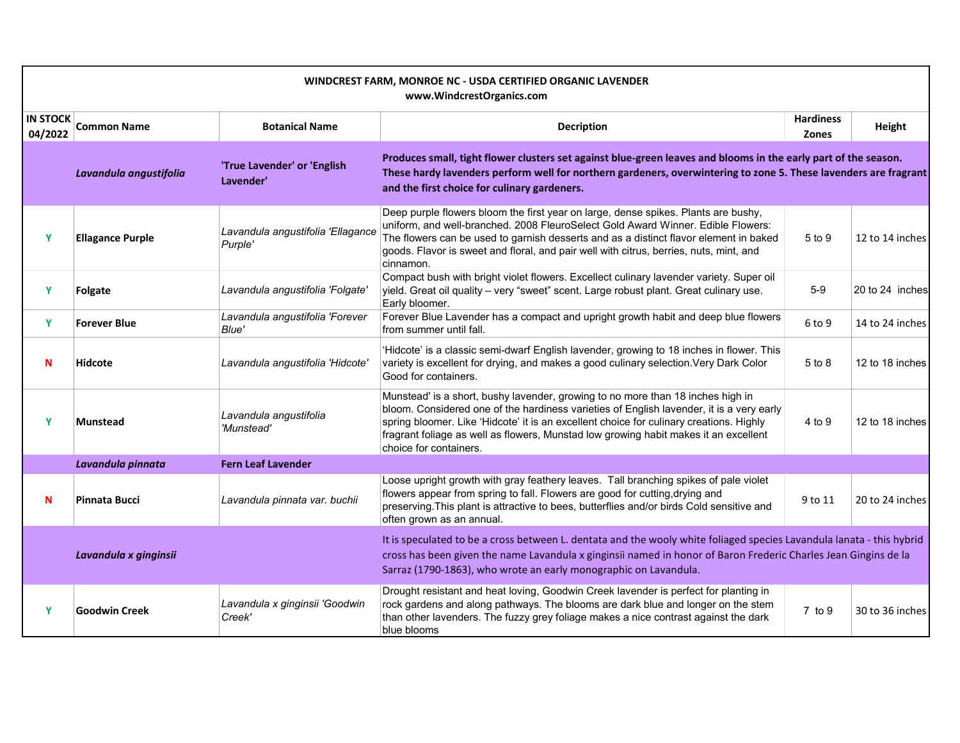| WINDCREST FARM, MONROE NC - USDA CERTIFIED ORGANIC LAVENDER<br>www.WindcrestOrganics.com |                         |                                                                                                                                                                                                                                                                                                              |                                                                                                                                                                                                                                                                                                                                                                                          |                                  |                 |  |
|------------------------------------------------------------------------------------------|-------------------------|--------------------------------------------------------------------------------------------------------------------------------------------------------------------------------------------------------------------------------------------------------------------------------------------------------------|------------------------------------------------------------------------------------------------------------------------------------------------------------------------------------------------------------------------------------------------------------------------------------------------------------------------------------------------------------------------------------------|----------------------------------|-----------------|--|
| <b>IN STOCK</b><br>04/2022                                                               | <b>Common Name</b>      | <b>Botanical Name</b>                                                                                                                                                                                                                                                                                        | <b>Decription</b>                                                                                                                                                                                                                                                                                                                                                                        | <b>Hardiness</b><br><b>Zones</b> | Height          |  |
|                                                                                          | Lavandula angustifolia  | 'True Lavender' or 'English<br>Lavender'                                                                                                                                                                                                                                                                     | Produces small, tight flower clusters set against blue-green leaves and blooms in the early part of the season.<br>These hardy lavenders perform well for northern gardeners, overwintering to zone 5. These lavenders are fragrant<br>and the first choice for culinary gardeners.                                                                                                      |                                  |                 |  |
| Y                                                                                        | <b>Ellagance Purple</b> | Lavandula angustifolia 'Ellagance<br>Purple'                                                                                                                                                                                                                                                                 | Deep purple flowers bloom the first year on large, dense spikes. Plants are bushy,<br>uniform, and well-branched. 2008 FleuroSelect Gold Award Winner. Edible Flowers:<br>The flowers can be used to garnish desserts and as a distinct flavor element in baked<br>goods. Flavor is sweet and floral, and pair well with citrus, berries, nuts, mint, and<br>cinnamon.                   | 5 to 9                           | 12 to 14 inches |  |
| Y                                                                                        | Folgate                 | Lavandula angustifolia 'Folgate'                                                                                                                                                                                                                                                                             | Compact bush with bright violet flowers. Excellect culinary lavender variety. Super oil<br>yield. Great oil quality - very "sweet" scent. Large robust plant. Great culinary use.<br>Early bloomer.                                                                                                                                                                                      | $5-9$                            | 20 to 24 inches |  |
| Y                                                                                        | <b>Forever Blue</b>     | Lavandula angustifolia 'Forever<br>Blue'                                                                                                                                                                                                                                                                     | Forever Blue Lavender has a compact and upright growth habit and deep blue flowers<br>from summer until fall.                                                                                                                                                                                                                                                                            | 6 to 9                           | 14 to 24 inches |  |
| N                                                                                        | <b>Hidcote</b>          | Lavandula angustifolia 'Hidcote'                                                                                                                                                                                                                                                                             | 'Hidcote' is a classic semi-dwarf English lavender, growing to 18 inches in flower. This<br>variety is excellent for drying, and makes a good culinary selection. Very Dark Color<br>Good for containers.                                                                                                                                                                                | $5$ to $8$                       | 12 to 18 inches |  |
| Y                                                                                        | <b>Munstead</b>         | Lavandula angustifolia<br>'Munstead'                                                                                                                                                                                                                                                                         | Munstead' is a short, bushy lavender, growing to no more than 18 inches high in<br>bloom. Considered one of the hardiness varieties of English lavender, it is a very early<br>spring bloomer. Like 'Hidcote' it is an excellent choice for culinary creations. Highly<br>fragrant foliage as well as flowers, Munstad low growing habit makes it an excellent<br>choice for containers. | 4 to 9                           | 12 to 18 inches |  |
|                                                                                          | Lavandula pinnata       | <b>Fern Leaf Lavender</b>                                                                                                                                                                                                                                                                                    |                                                                                                                                                                                                                                                                                                                                                                                          |                                  |                 |  |
| N                                                                                        | Pinnata Bucci           | Lavandula pinnata var. buchii                                                                                                                                                                                                                                                                                | Loose upright growth with gray feathery leaves. Tall branching spikes of pale violet<br>flowers appear from spring to fall. Flowers are good for cutting, drying and<br>preserving. This plant is attractive to bees, butterflies and/or birds Cold sensitive and<br>often grown as an annual.                                                                                           | 9 to 11                          | 20 to 24 inches |  |
|                                                                                          | Lavandula x ginginsii   | It is speculated to be a cross between L. dentata and the wooly white foliaged species Lavandula lanata - this hybrid<br>cross has been given the name Lavandula x ginginsii named in honor of Baron Frederic Charles Jean Gingins de la<br>Sarraz (1790-1863), who wrote an early monographic on Lavandula. |                                                                                                                                                                                                                                                                                                                                                                                          |                                  |                 |  |
| Y                                                                                        | <b>Goodwin Creek</b>    | Lavandula x ginginsii 'Goodwin<br>Creek'                                                                                                                                                                                                                                                                     | Drought resistant and heat loving, Goodwin Creek lavender is perfect for planting in<br>rock gardens and along pathways. The blooms are dark blue and longer on the stem<br>than other lavenders. The fuzzy grey foliage makes a nice contrast against the dark<br>blue blooms                                                                                                           | $7$ to $9$                       | 30 to 36 inches |  |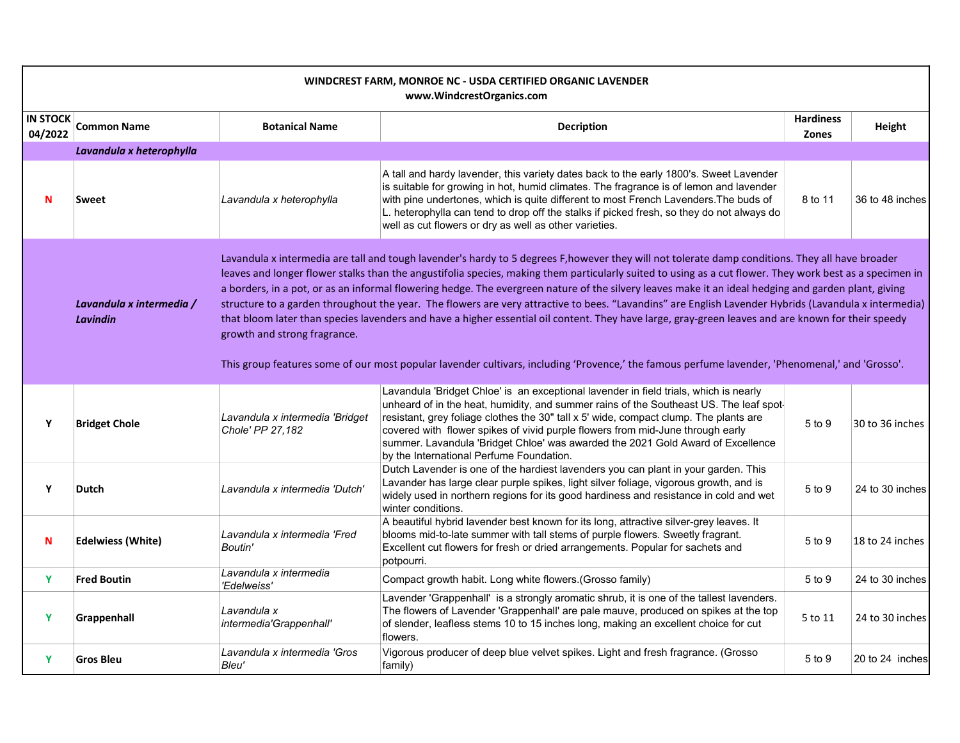| WINDCREST FARM, MONROE NC - USDA CERTIFIED ORGANIC LAVENDER<br>www.WindcrestOrganics.com |                                             |                                                                                                                                                                                                                                                                                                                                                                                                                                                                                                                                                                                                                                                                                                                                                                                                                                                                                                                                                                        |                                                                                                                                                                                                                                                                                                                                                                                                                                                                                           |                                  |                 |  |
|------------------------------------------------------------------------------------------|---------------------------------------------|------------------------------------------------------------------------------------------------------------------------------------------------------------------------------------------------------------------------------------------------------------------------------------------------------------------------------------------------------------------------------------------------------------------------------------------------------------------------------------------------------------------------------------------------------------------------------------------------------------------------------------------------------------------------------------------------------------------------------------------------------------------------------------------------------------------------------------------------------------------------------------------------------------------------------------------------------------------------|-------------------------------------------------------------------------------------------------------------------------------------------------------------------------------------------------------------------------------------------------------------------------------------------------------------------------------------------------------------------------------------------------------------------------------------------------------------------------------------------|----------------------------------|-----------------|--|
| <b>IN STOCK</b><br>04/2022                                                               | <b>Common Name</b>                          | <b>Botanical Name</b>                                                                                                                                                                                                                                                                                                                                                                                                                                                                                                                                                                                                                                                                                                                                                                                                                                                                                                                                                  | <b>Decription</b>                                                                                                                                                                                                                                                                                                                                                                                                                                                                         | <b>Hardiness</b><br><b>Zones</b> | Height          |  |
|                                                                                          | Lavandula x heterophylla                    |                                                                                                                                                                                                                                                                                                                                                                                                                                                                                                                                                                                                                                                                                                                                                                                                                                                                                                                                                                        |                                                                                                                                                                                                                                                                                                                                                                                                                                                                                           |                                  |                 |  |
| N                                                                                        | Sweet                                       | Lavandula x heterophylla                                                                                                                                                                                                                                                                                                                                                                                                                                                                                                                                                                                                                                                                                                                                                                                                                                                                                                                                               | A tall and hardy lavender, this variety dates back to the early 1800's. Sweet Lavender<br>is suitable for growing in hot, humid climates. The fragrance is of lemon and lavender<br>with pine undertones, which is quite different to most French Lavenders. The buds of<br>L. heterophylla can tend to drop off the stalks if picked fresh, so they do not always do<br>well as cut flowers or dry as well as other varieties.                                                           | 8 to 11                          | 36 to 48 inches |  |
|                                                                                          | Lavandula x intermedia /<br><b>Lavindin</b> | Lavandula x intermedia are tall and tough lavender's hardy to 5 degrees F, however they will not tolerate damp conditions. They all have broader<br>leaves and longer flower stalks than the angustifolia species, making them particularly suited to using as a cut flower. They work best as a specimen in<br>a borders, in a pot, or as an informal flowering hedge. The evergreen nature of the silvery leaves make it an ideal hedging and garden plant, giving<br>structure to a garden throughout the year. The flowers are very attractive to bees. "Lavandins" are English Lavender Hybrids (Lavandula x intermedia)<br>that bloom later than species lavenders and have a higher essential oil content. They have large, gray-green leaves and are known for their speedy<br>growth and strong fragrance.<br>This group features some of our most popular lavender cultivars, including 'Provence,' the famous perfume lavender, 'Phenomenal,' and 'Grosso'. |                                                                                                                                                                                                                                                                                                                                                                                                                                                                                           |                                  |                 |  |
| Y                                                                                        | <b>Bridget Chole</b>                        | Lavandula x intermedia 'Bridget<br>Chole' PP 27,182                                                                                                                                                                                                                                                                                                                                                                                                                                                                                                                                                                                                                                                                                                                                                                                                                                                                                                                    | Lavandula 'Bridget Chloe' is an exceptional lavender in field trials, which is nearly<br>unheard of in the heat, humidity, and summer rains of the Southeast US. The leaf spot-<br>resistant, grey foliage clothes the 30" tall x 5' wide, compact clump. The plants are<br>covered with flower spikes of vivid purple flowers from mid-June through early<br>summer. Lavandula 'Bridget Chloe' was awarded the 2021 Gold Award of Excellence<br>by the International Perfume Foundation. | 5 to 9                           | 30 to 36 inches |  |
| Y                                                                                        | Dutch                                       | Lavandula x intermedia 'Dutch'                                                                                                                                                                                                                                                                                                                                                                                                                                                                                                                                                                                                                                                                                                                                                                                                                                                                                                                                         | Dutch Lavender is one of the hardiest lavenders you can plant in your garden. This<br>Lavander has large clear purple spikes, light silver foliage, vigorous growth, and is<br>widely used in northern regions for its good hardiness and resistance in cold and wet<br>winter conditions.                                                                                                                                                                                                | 5 to 9                           | 24 to 30 inches |  |
| N                                                                                        | <b>Edelwiess (White)</b>                    | Lavandula x intermedia 'Fred<br>Boutin'                                                                                                                                                                                                                                                                                                                                                                                                                                                                                                                                                                                                                                                                                                                                                                                                                                                                                                                                | A beautiful hybrid lavender best known for its long, attractive silver-grey leaves. It<br>blooms mid-to-late summer with tall stems of purple flowers. Sweetly fragrant.<br>Excellent cut flowers for fresh or dried arrangements. Popular for sachets and<br>potpourri.                                                                                                                                                                                                                  | 5 to 9                           | 18 to 24 inches |  |
| Y                                                                                        | <b>Fred Boutin</b>                          | Lavandula x intermedia<br>'Edelweiss'                                                                                                                                                                                                                                                                                                                                                                                                                                                                                                                                                                                                                                                                                                                                                                                                                                                                                                                                  | Compact growth habit. Long white flowers. (Grosso family)                                                                                                                                                                                                                                                                                                                                                                                                                                 | 5 to 9                           | 24 to 30 inches |  |
| Y                                                                                        | Grappenhall                                 | Lavandula x<br>intermedia'Grappenhall'                                                                                                                                                                                                                                                                                                                                                                                                                                                                                                                                                                                                                                                                                                                                                                                                                                                                                                                                 | Lavender 'Grappenhall' is a strongly aromatic shrub, it is one of the tallest lavenders.<br>The flowers of Lavender 'Grappenhall' are pale mauve, produced on spikes at the top<br>of slender, leafless stems 10 to 15 inches long, making an excellent choice for cut<br>flowers.                                                                                                                                                                                                        | 5 to 11                          | 24 to 30 inches |  |
| Y                                                                                        | <b>Gros Bleu</b>                            | Lavandula x intermedia 'Gros<br>Bleu'                                                                                                                                                                                                                                                                                                                                                                                                                                                                                                                                                                                                                                                                                                                                                                                                                                                                                                                                  | Vigorous producer of deep blue velvet spikes. Light and fresh fragrance. (Grosso<br>family)                                                                                                                                                                                                                                                                                                                                                                                               | 5 to 9                           | 20 to 24 inches |  |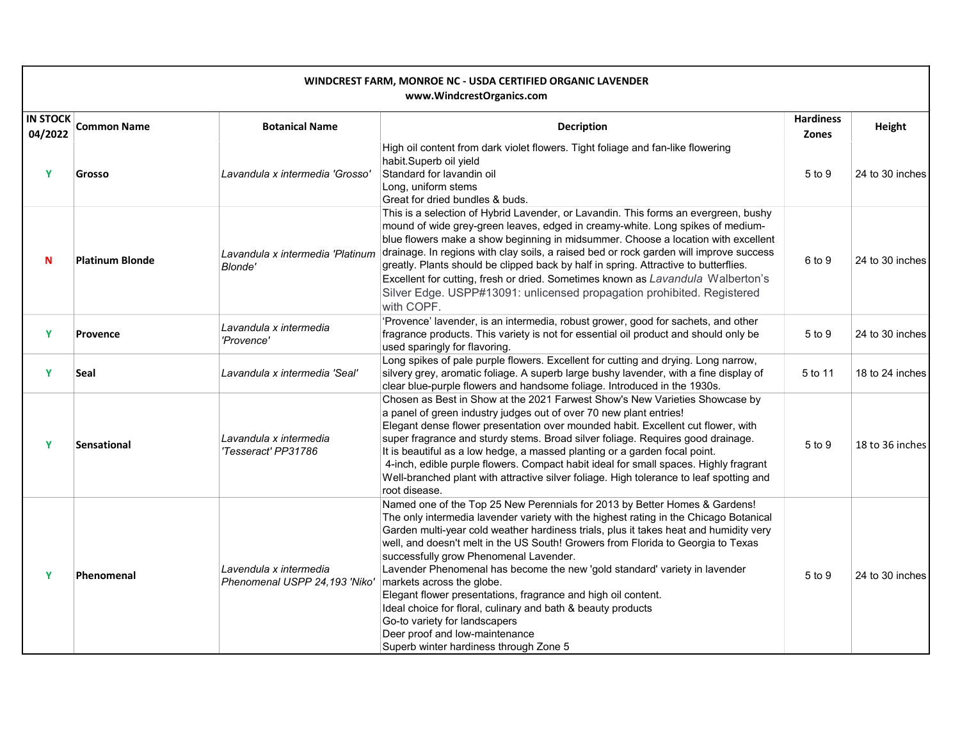| WINDCREST FARM, MONROE NC - USDA CERTIFIED ORGANIC LAVENDER<br>www.WindcrestOrganics.com |                        |                                                         |                                                                                                                                                                                                                                                                                                                                                                                                                                                                                                                                                                                                                                                                                                                                                     |                           |                 |  |
|------------------------------------------------------------------------------------------|------------------------|---------------------------------------------------------|-----------------------------------------------------------------------------------------------------------------------------------------------------------------------------------------------------------------------------------------------------------------------------------------------------------------------------------------------------------------------------------------------------------------------------------------------------------------------------------------------------------------------------------------------------------------------------------------------------------------------------------------------------------------------------------------------------------------------------------------------------|---------------------------|-----------------|--|
| <b>IN STOCK</b><br>04/2022                                                               | <b>Common Name</b>     | <b>Botanical Name</b>                                   | <b>Decription</b>                                                                                                                                                                                                                                                                                                                                                                                                                                                                                                                                                                                                                                                                                                                                   | <b>Hardiness</b><br>Zones | Height          |  |
| Y                                                                                        | Grosso                 | Lavandula x intermedia 'Grosso'                         | High oil content from dark violet flowers. Tight foliage and fan-like flowering<br>habit.Superb oil yield<br>Standard for lavandin oil<br>Long, uniform stems<br>Great for dried bundles & buds.                                                                                                                                                                                                                                                                                                                                                                                                                                                                                                                                                    | 5 to 9                    | 24 to 30 inches |  |
| N                                                                                        | <b>Platinum Blonde</b> | Lavandula x intermedia 'Platinum<br><b>Blonde'</b>      | This is a selection of Hybrid Lavender, or Lavandin. This forms an evergreen, bushy<br>mound of wide grey-green leaves, edged in creamy-white. Long spikes of medium-<br>blue flowers make a show beginning in midsummer. Choose a location with excellent<br>drainage. In regions with clay soils, a raised bed or rock garden will improve success<br>greatly. Plants should be clipped back by half in spring. Attractive to butterflies.<br>Excellent for cutting, fresh or dried. Sometimes known as Lavandula Walberton's<br>Silver Edge. USPP#13091: unlicensed propagation prohibited. Registered<br>with COPF.                                                                                                                             | 6 to 9                    | 24 to 30 inches |  |
| Y                                                                                        | <b>Provence</b>        | Lavandula x intermedia<br>'Provence'                    | 'Provence' lavender, is an intermedia, robust grower, good for sachets, and other<br>fragrance products. This variety is not for essential oil product and should only be<br>used sparingly for flavoring.                                                                                                                                                                                                                                                                                                                                                                                                                                                                                                                                          | 5 to 9                    | 24 to 30 inches |  |
| Y                                                                                        | Seal                   | Lavandula x intermedia 'Seal'                           | Long spikes of pale purple flowers. Excellent for cutting and drying. Long narrow,<br>silvery grey, aromatic foliage. A superb large bushy lavender, with a fine display of<br>clear blue-purple flowers and handsome foliage. Introduced in the 1930s.                                                                                                                                                                                                                                                                                                                                                                                                                                                                                             | 5 to 11                   | 18 to 24 inches |  |
| Y                                                                                        | <b>Sensational</b>     | Lavandula x intermedia<br>'Tesseract' PP31786           | Chosen as Best in Show at the 2021 Farwest Show's New Varieties Showcase by<br>a panel of green industry judges out of over 70 new plant entries!<br>Elegant dense flower presentation over mounded habit. Excellent cut flower, with<br>super fragrance and sturdy stems. Broad silver foliage. Requires good drainage.<br>It is beautiful as a low hedge, a massed planting or a garden focal point.<br>4-inch, edible purple flowers. Compact habit ideal for small spaces. Highly fragrant<br>Well-branched plant with attractive silver foliage. High tolerance to leaf spotting and<br>root disease.                                                                                                                                          | 5 to 9                    | 18 to 36 inches |  |
| Y                                                                                        | Phenomenal             | Lavendula x intermedia<br>Phenomenal USPP 24,193 'Niko' | Named one of the Top 25 New Perennials for 2013 by Better Homes & Gardens!<br>The only intermedia lavender variety with the highest rating in the Chicago Botanical<br>Garden multi-year cold weather hardiness trials, plus it takes heat and humidity very<br>well, and doesn't melt in the US South! Growers from Florida to Georgia to Texas<br>successfully grow Phenomenal Lavender.<br>Lavender Phenomenal has become the new 'gold standard' variety in lavender<br>markets across the globe.<br>Elegant flower presentations, fragrance and high oil content.<br>Ideal choice for floral, culinary and bath & beauty products<br>Go-to variety for landscapers<br>Deer proof and low-maintenance<br>Superb winter hardiness through Zone 5 | 5 to 9                    | 24 to 30 inches |  |